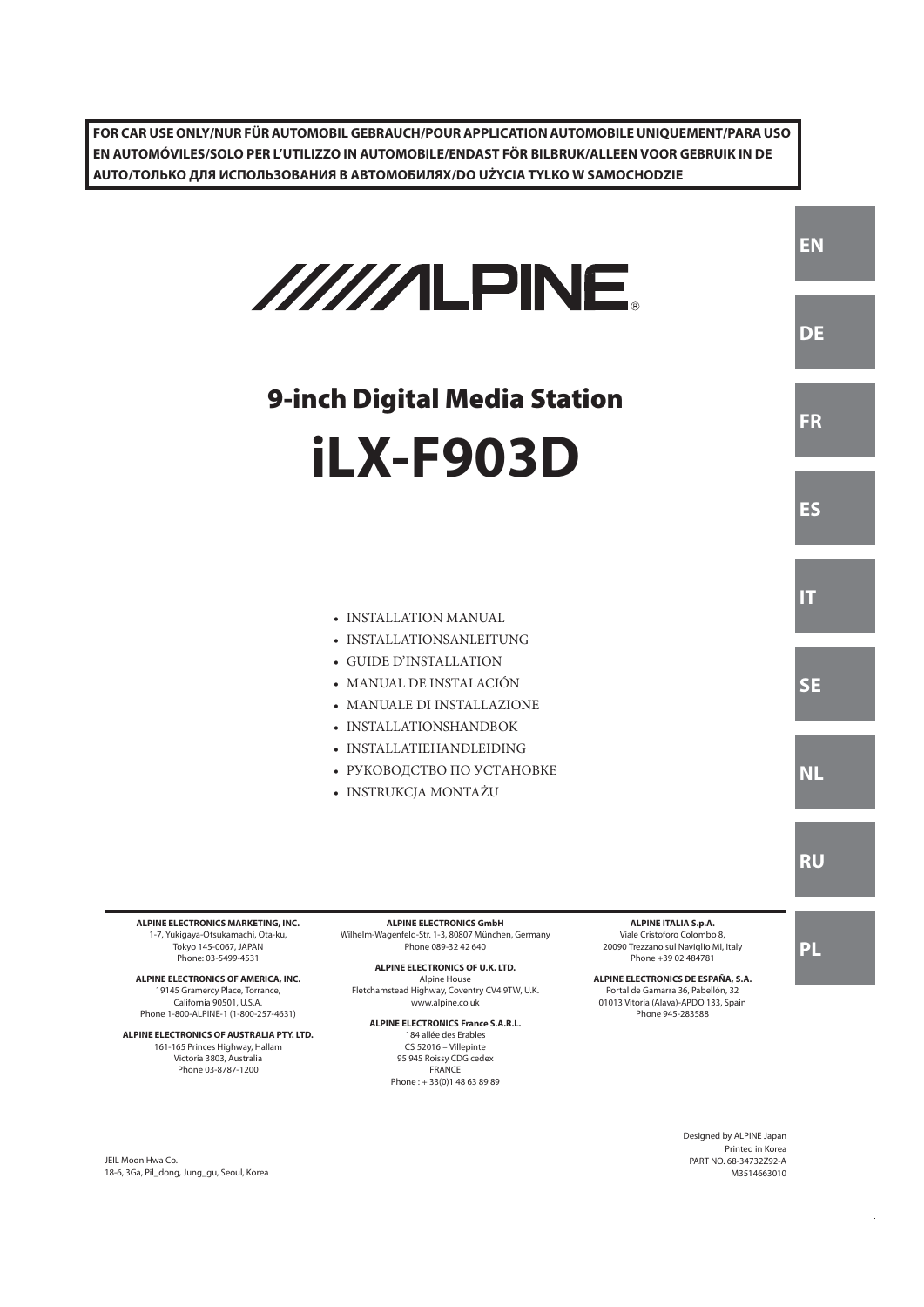**FOR CAR USE ONLY/NUR FÜR AUTOMOBIL GEBRAUCH/POUR APPLICATION AUTOMOBILE UNIQUEMENT/PARA USO EN AUTOMÓVILES/SOLO PER L'UTILIZZO IN AUTOMOBILE/ENDAST FÖR BILBRUK/ALLEEN VOOR GEBRUIK IN DE AUTO/ТОЛЬКО ДЛЯ ИСПОЛЬЗОВАНИЯ В АВТОМОБИЛЯХ/DO UŻYCIA TYLKO W SAMOCHODZIE**



# **9-inch Digital Media Station iLX-F903D**

| • INSTALLATION MANUAL    |
|--------------------------|
| • INSTALLATIONSANLEITUNG |
| • GUIDE D'INSTALLATION   |
| • MANUAL DE INSTALACIÓN  |
|                          |

- MANUALE DI INSTALLAZIONE
- INSTALLATIONSHANDBOK
- INSTALLATIEHANDLEIDING
- РУКОВОДСТВО ПО УСТАНОВКЕ
- INSTRUKCJA MONTAŻU

**ALPINE ELECTRONICS MARKETING, INC.** 1-7, Yukigaya-Otsukamachi, Ota-ku, Tokyo 145-0067, JAPAN Phone: 03-5499-4531

**ALPINE ELECTRONICS OF AMERICA, INC.** 19145 Gramercy Place, Torrance, California 90501, U.S.A. Phone 1-800-ALPINE-1 (1-800-257-4631)

**ALPINE ELECTRONICS OF AUSTRALIA PTY. LTD.** 161-165 Princes Highway, Hallam Victoria 3803, Australia Phone 03-8787-1200

**ALPINE ELECTRONICS GmbH** Wilhelm-Wagenfeld-Str. 1-3, 80807 München, Germany Phone 089-32 42 640

> **ALPINE ELECTRONICS OF U.K. LTD.** Alpine House

Fletchamstead Highway, Coventry CV4 9TW, U.K. www.alpine.co.uk

> **ALPINE ELECTRONICS France S.A.R.L.** 184 allée des Erables CS 52016 – Villepinte 95 945 Roissy CDG cedex FRANCE Phone : + 33(0)1 48 63 89 89

**ALPINE ITALIA S.p.A.** Viale Cristoforo Colombo 8, 20090 Trezzano sul Naviglio MI, Italy Phone +39 02 484781

**ALPINE ELECTRONICS DE ESPAÑA, S.A.** Portal de Gamarra 36, Pabellón, 32 01013 Vitoria (Alava)-APDO 133, Spain Phone 945-283588

**IT**

**SE**

**EN**

**DE**

**FR**

**ES**

**NL**

**RU**

**PL**

Designed by ALPINE Japan Printed in Korea PART NO. 68-34732Z92-A M3514663010

JEIL Moon Hwa Co. 18-6, 3Ga, Pil\_dong, Jung\_gu, Seoul, Korea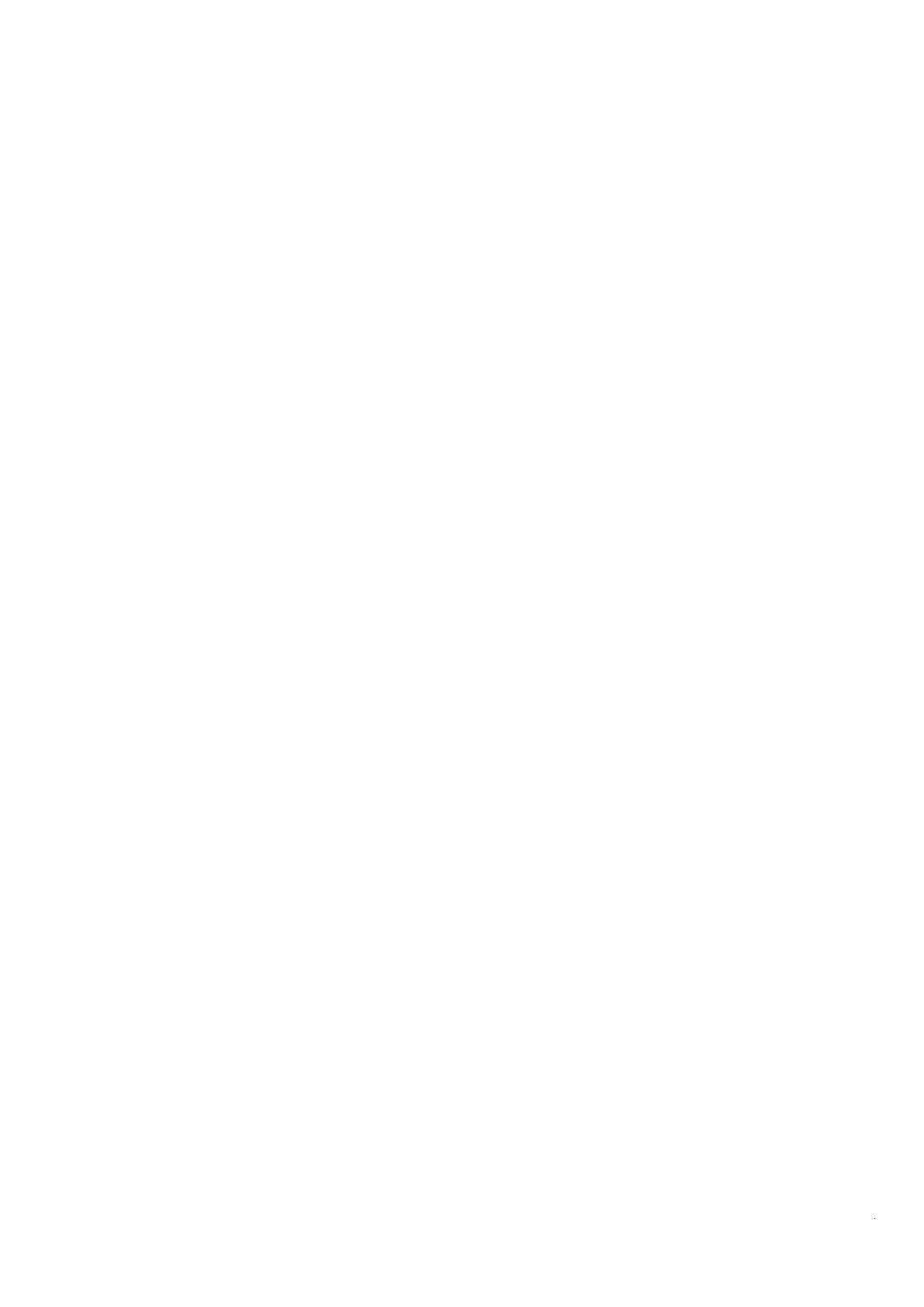$\hat{\mathcal{L}}$  $\frac{1}{2}$ 

 $\begin{array}{c} \frac{1}{2} \end{array}$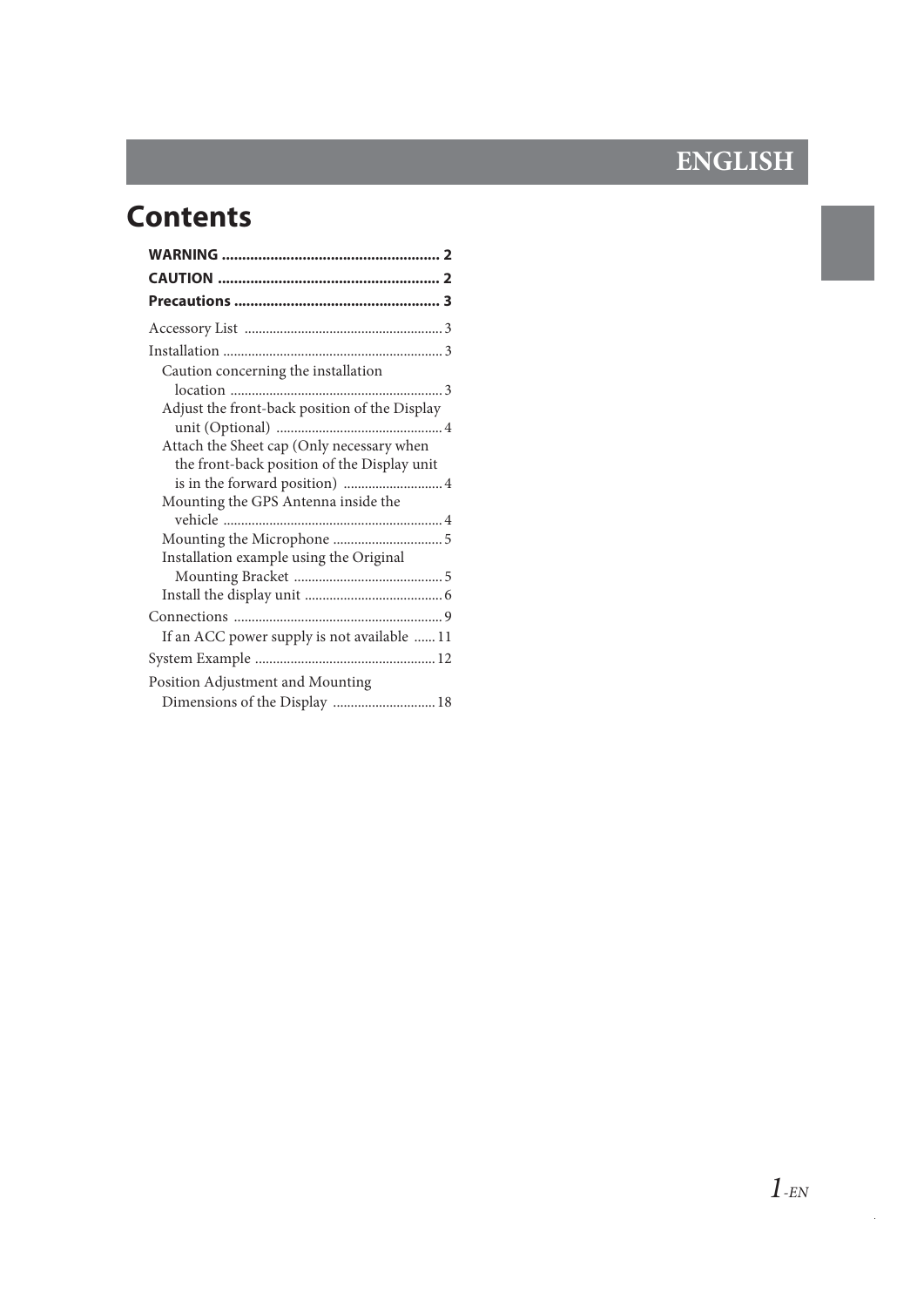# **ENGLISH**

## **Contents**

| Caution concerning the installation           |  |
|-----------------------------------------------|--|
|                                               |  |
| Adjust the front-back position of the Display |  |
| Attach the Sheet cap (Only necessary when     |  |
| the front-back position of the Display unit   |  |
|                                               |  |
| Mounting the GPS Antenna inside the           |  |
|                                               |  |
|                                               |  |
| Installation example using the Original       |  |
|                                               |  |
|                                               |  |
|                                               |  |
| If an ACC power supply is not available  11   |  |
|                                               |  |
| Position Adjustment and Mounting              |  |
| Dimensions of the Display  18                 |  |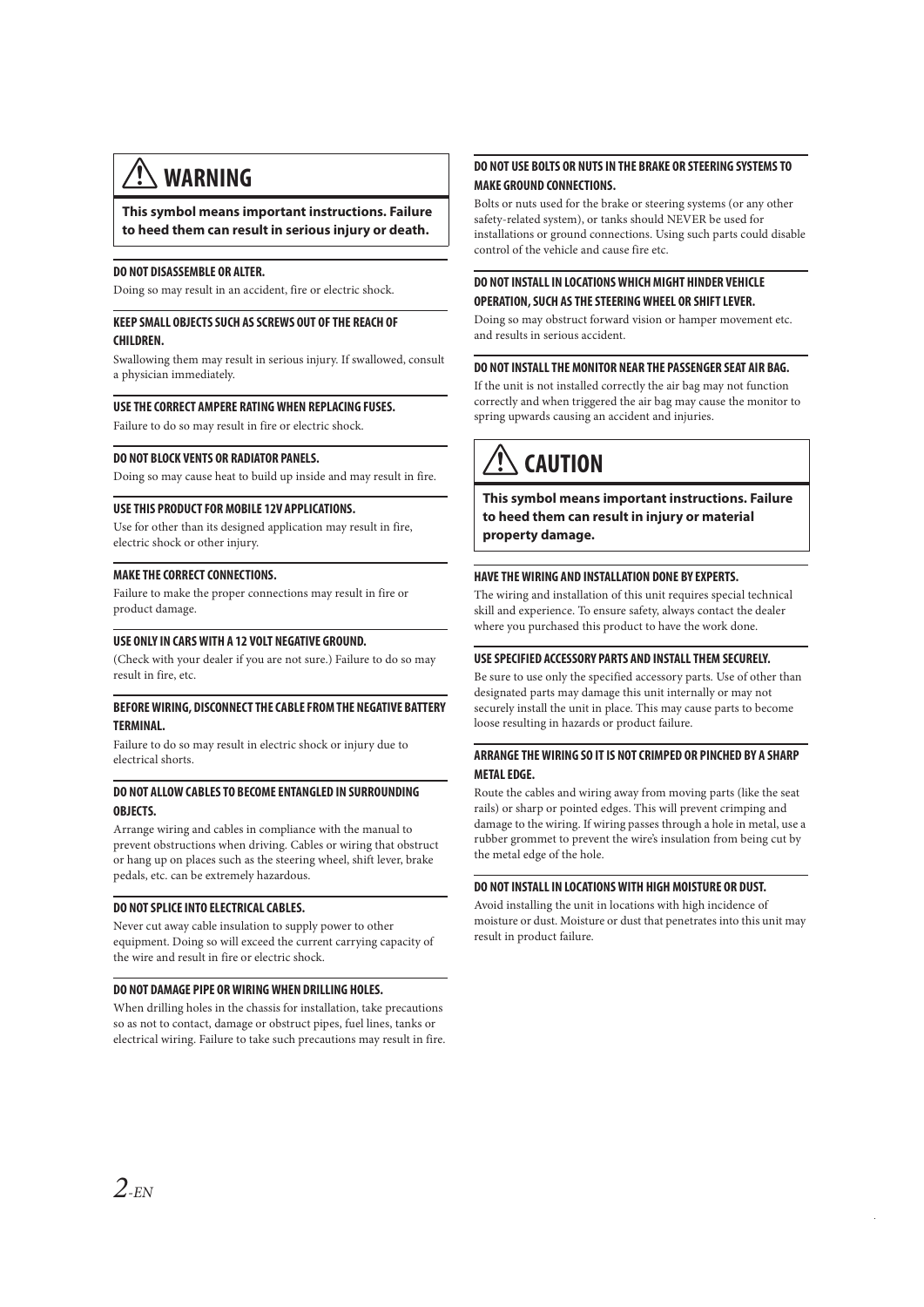### **WARNING**

#### **This symbol means important instructions. Failure to heed them can result in serious injury or death.**

#### **DO NOT DISASSEMBLE OR ALTER.**

Doing so may result in an accident, fire or electric shock.

#### **KEEP SMALL OBJECTS SUCH AS SCREWS OUT OF THE REACH OF CHILDREN.**

Swallowing them may result in serious injury. If swallowed, consult a physician immediately.

#### **USE THE CORRECT AMPERE RATING WHEN REPLACING FUSES.**

Failure to do so may result in fire or electric shock.

#### **DO NOT BLOCK VENTS OR RADIATOR PANELS.**

Doing so may cause heat to build up inside and may result in fire.

#### **USE THIS PRODUCT FOR MOBILE 12V APPLICATIONS.**

Use for other than its designed application may result in fire, electric shock or other injury.

#### **MAKE THE CORRECT CONNECTIONS.**

Failure to make the proper connections may result in fire or product damage.

#### **USE ONLY IN CARS WITH A 12 VOLT NEGATIVE GROUND.**

(Check with your dealer if you are not sure.) Failure to do so may result in fire, etc.

#### **BEFORE WIRING, DISCONNECT THE CABLE FROM THE NEGATIVE BATTERY TERMINAL.**

Failure to do so may result in electric shock or injury due to electrical shorts.

#### **DO NOT ALLOW CABLES TO BECOME ENTANGLED IN SURROUNDING OBJECTS.**

Arrange wiring and cables in compliance with the manual to prevent obstructions when driving. Cables or wiring that obstruct or hang up on places such as the steering wheel, shift lever, brake pedals, etc. can be extremely hazardous.

#### **DO NOT SPLICE INTO ELECTRICAL CABLES.**

Never cut away cable insulation to supply power to other equipment. Doing so will exceed the current carrying capacity of the wire and result in fire or electric shock.

#### **DO NOT DAMAGE PIPE OR WIRING WHEN DRILLING HOLES.**

When drilling holes in the chassis for installation, take precautions so as not to contact, damage or obstruct pipes, fuel lines, tanks or electrical wiring. Failure to take such precautions may result in fire.

#### **DO NOT USE BOLTS OR NUTS IN THE BRAKE OR STEERING SYSTEMS TO MAKE GROUND CONNECTIONS.**

Bolts or nuts used for the brake or steering systems (or any other safety-related system), or tanks should NEVER be used for installations or ground connections. Using such parts could disable control of the vehicle and cause fire etc.

#### **DO NOT INSTALL IN LOCATIONS WHICH MIGHT HINDER VEHICLE OPERATION, SUCH AS THE STEERING WHEEL OR SHIFT LEVER.**

Doing so may obstruct forward vision or hamper movement etc. and results in serious accident.

#### **DO NOT INSTALL THE MONITOR NEAR THE PASSENGER SEAT AIR BAG.**

If the unit is not installed correctly the air bag may not function correctly and when triggered the air bag may cause the monitor to spring upwards causing an accident and injuries.

# **CAUTION**

**This symbol means important instructions. Failure to heed them can result in injury or material property damage.**

#### **HAVE THE WIRING AND INSTALLATION DONE BY EXPERTS.**

The wiring and installation of this unit requires special technical skill and experience. To ensure safety, always contact the dealer where you purchased this product to have the work done.

#### **USE SPECIFIED ACCESSORY PARTS AND INSTALL THEM SECURELY.**

Be sure to use only the specified accessory parts. Use of other than designated parts may damage this unit internally or may not securely install the unit in place. This may cause parts to become loose resulting in hazards or product failure.

#### **ARRANGE THE WIRING SO IT IS NOT CRIMPED OR PINCHED BY A SHARP METAL EDGE.**

Route the cables and wiring away from moving parts (like the seat rails) or sharp or pointed edges. This will prevent crimping and damage to the wiring. If wiring passes through a hole in metal, use a rubber grommet to prevent the wire's insulation from being cut by the metal edge of the hole.

#### **DO NOT INSTALL IN LOCATIONS WITH HIGH MOISTURE OR DUST.**

Avoid installing the unit in locations with high incidence of moisture or dust. Moisture or dust that penetrates into this unit may result in product failure.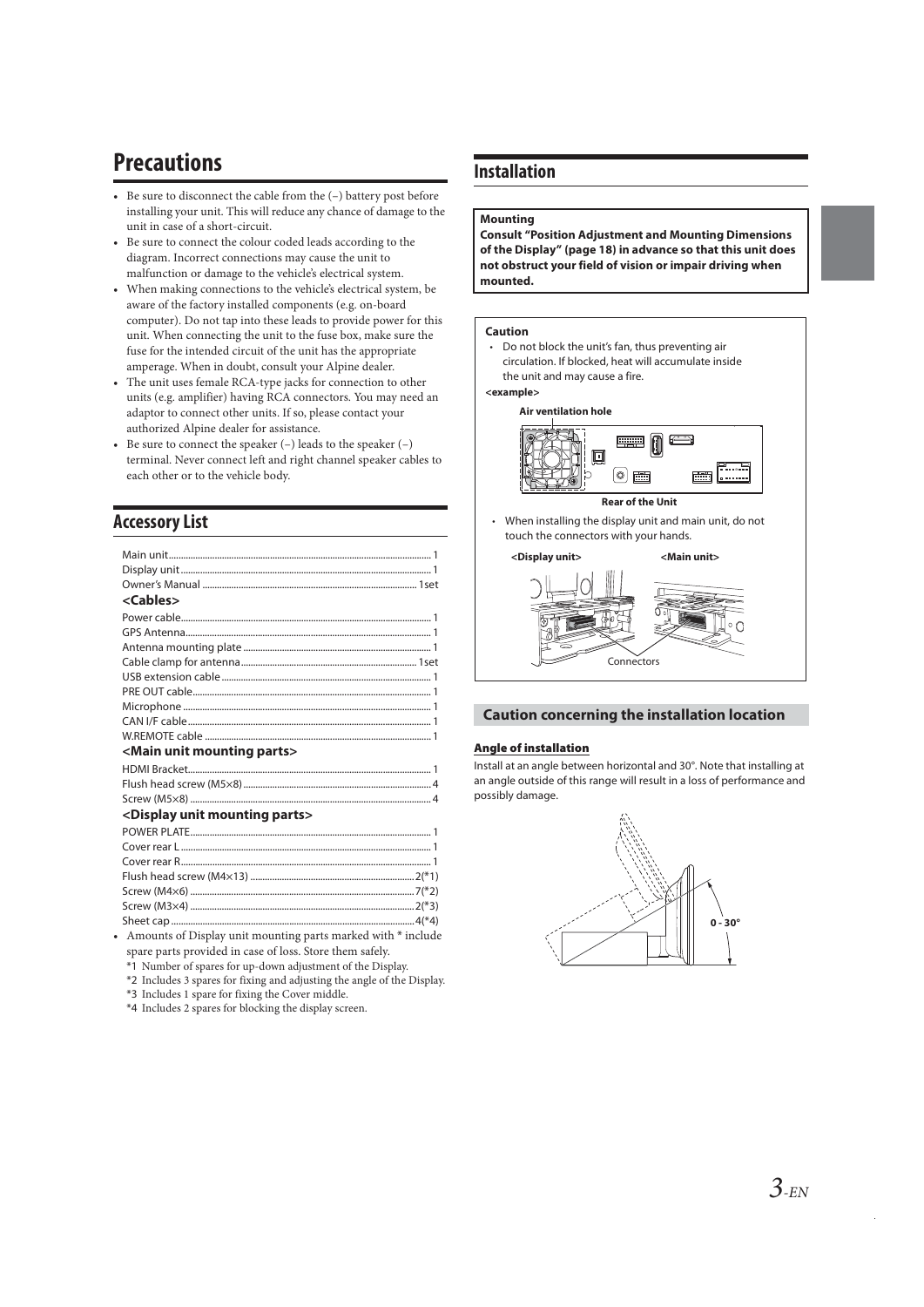### **Precautions**

- Be sure to disconnect the cable from the (–) battery post before installing your unit. This will reduce any chance of damage to the unit in case of a short-circuit.
- Be sure to connect the colour coded leads according to the diagram. Incorrect connections may cause the unit to malfunction or damage to the vehicle's electrical system.
- When making connections to the vehicle's electrical system, be aware of the factory installed components (e.g. on-board computer). Do not tap into these leads to provide power for this unit. When connecting the unit to the fuse box, make sure the fuse for the intended circuit of the unit has the appropriate amperage. When in doubt, consult your Alpine dealer.
- The unit uses female RCA-type jacks for connection to other units (e.g. amplifier) having RCA connectors. You may need an adaptor to connect other units. If so, please contact your authorized Alpine dealer for assistance.
- Be sure to connect the speaker  $(-)$  leads to the speaker  $(-)$ terminal. Never connect left and right channel speaker cables to each other or to the vehicle body.

#### **Accessory List**

| <cables></cables>                                |
|--------------------------------------------------|
|                                                  |
|                                                  |
|                                                  |
|                                                  |
|                                                  |
|                                                  |
|                                                  |
|                                                  |
|                                                  |
| <main mounting="" parts="" unit=""></main>       |
|                                                  |
|                                                  |
|                                                  |
| <display mounting="" parts="" unit=""></display> |
|                                                  |
|                                                  |
|                                                  |
|                                                  |
|                                                  |
|                                                  |
|                                                  |

• Amounts of Display unit mounting parts marked with \* include spare parts provided in case of loss. Store them safely.

\*1 Number of spares for up-down adjustment of the Display.

\*2 Includes 3 spares for fixing and adjusting the angle of the Display.

\*3 Includes 1 spare for fixing the Cover middle.

\*4 Includes 2 spares for blocking the display screen.

#### **Installation**

#### **Mounting**

**Consult "Position Adjustment and Mounting Dimensions of the Display" (page 18) in advance so that this unit does not obstruct your field of vision or impair driving when mounted.**

#### **Caution**

• Do not block the unit's fan, thus preventing air circulation. If blocked, heat will accumulate inside the unit and may cause a fire.

**<example>**





**Rear of the Unit**

• When installing the display unit and main unit, do not touch the connectors with your hands.



#### **Caution concerning the installation location**

#### **Angle of installation**

Install at an angle between horizontal and 30°. Note that installing at an angle outside of this range will result in a loss of performance and possibly damage.

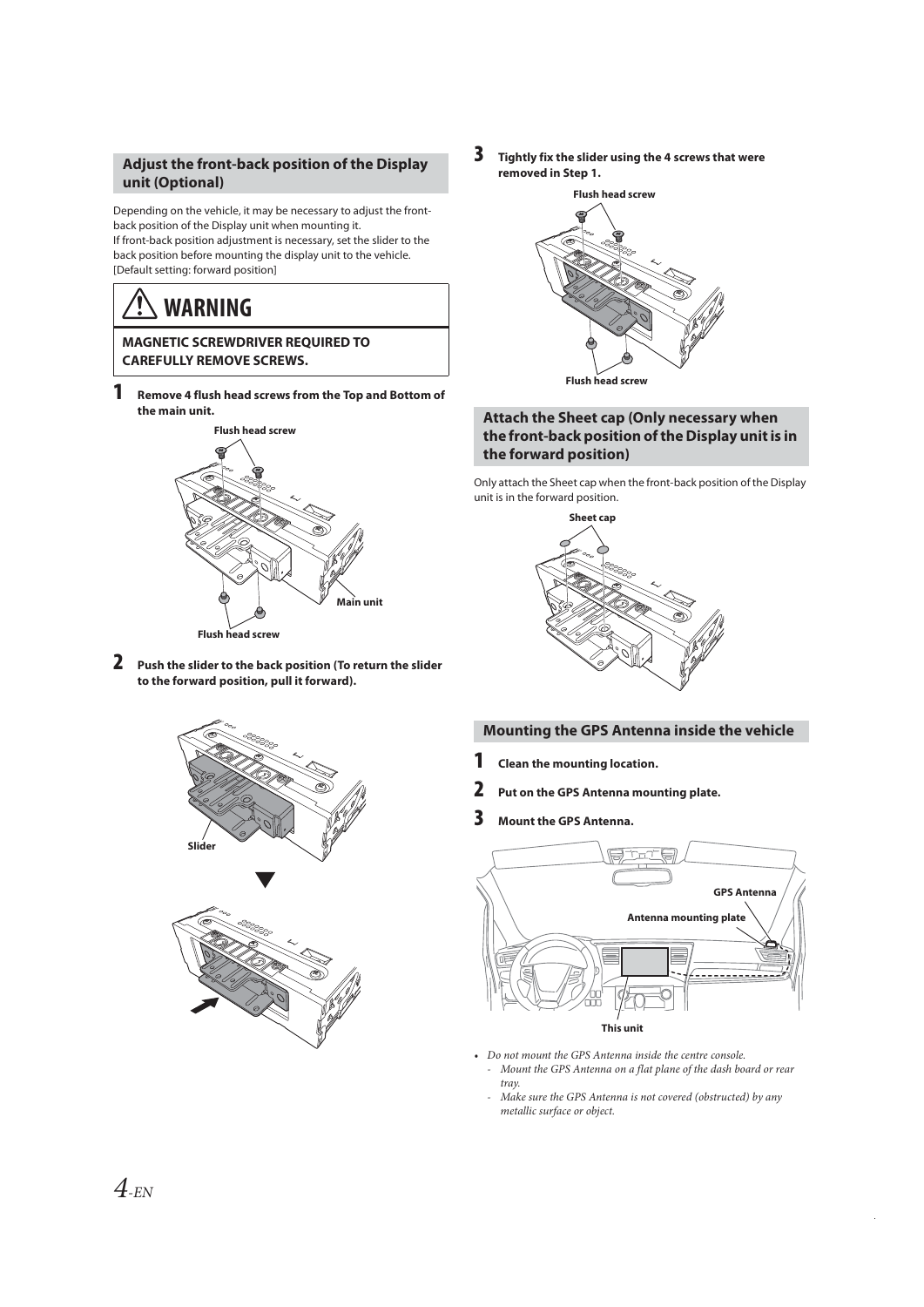#### **Adjust the front-back position of the Display unit (Optional)**

Depending on the vehicle, it may be necessary to adjust the frontback position of the Display unit when mounting it. If front-back position adjustment is necessary, set the slider to the back position before mounting the display unit to the vehicle. [Default setting: forward position]

## **WARNING**

#### **MAGNETIC SCREWDRIVER REQUIRED TO CAREFULLY REMOVE SCREWS.**

**1 Remove 4 flush head screws from the Top and Bottom of the main unit.**



**2 Push the slider to the back position (To return the slider to the forward position, pull it forward).**



**3 Tightly fix the slider using the 4 screws that were removed in Step 1.**



**Flush head screw**

#### **Attach the Sheet cap (Only necessary when the front-back position of the Display unit is in the forward position)**

Only attach the Sheet cap when the front-back position of the Display unit is in the forward position.



#### **Mounting the GPS Antenna inside the vehicle**

- **1 Clean the mounting location.**
- **2 Put on the GPS Antenna mounting plate.**
- **3 Mount the GPS Antenna.**



- Do not mount the GPS Antenna inside the centre console.
- Mount the GPS Antenna on a flat plane of the dash board or rear tray.
- Make sure the GPS Antenna is not covered (obstructed) by any metallic surface or object.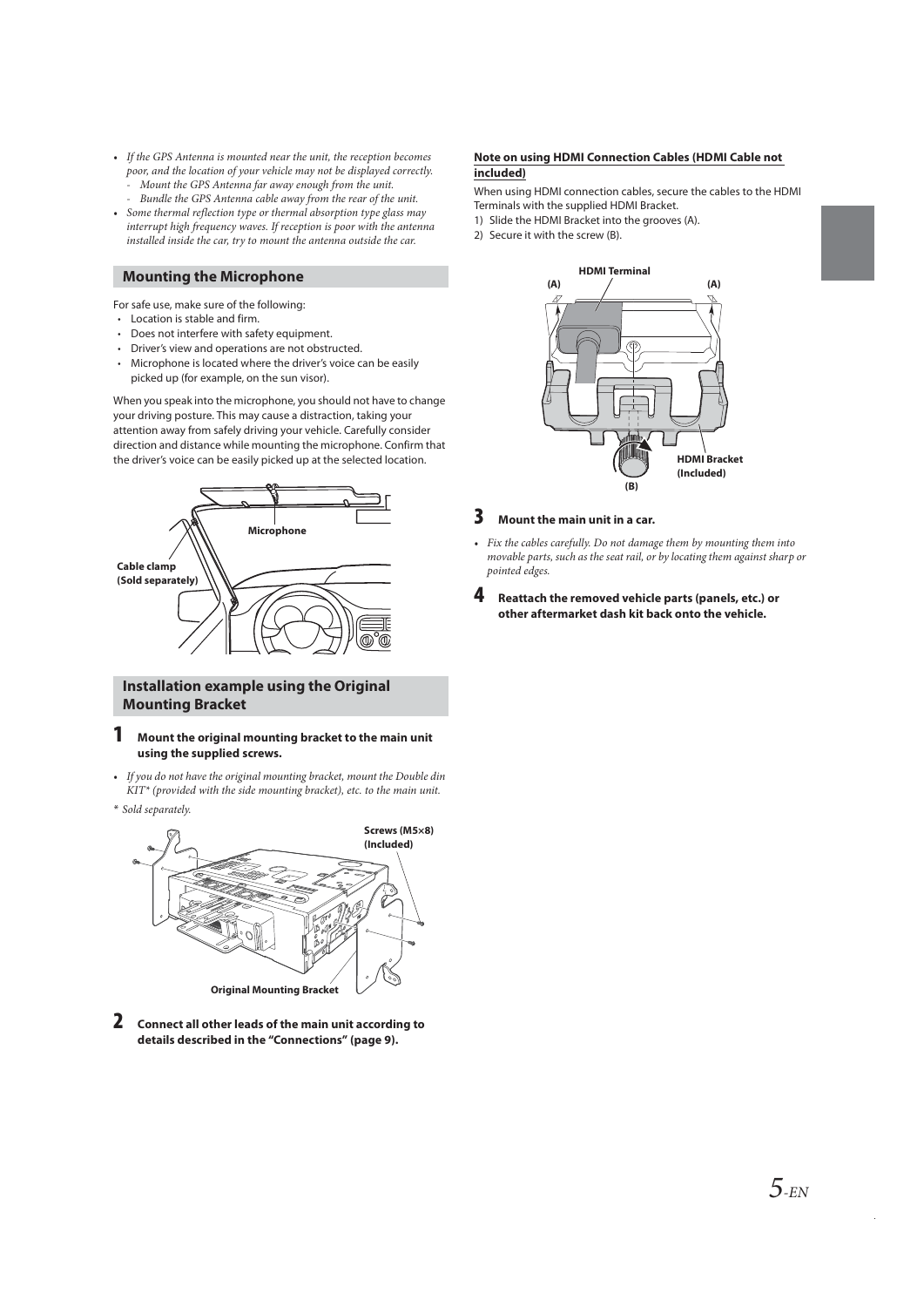- If the GPS Antenna is mounted near the unit, the reception becomes poor, and the location of your vehicle may not be displayed correctly. Mount the GPS Antenna far away enough from the unit. Bundle the GPS Antenna cable away from the rear of the unit.
- Some thermal reflection type or thermal absorption type glass may interrupt high frequency waves. If reception is poor with the antenna installed inside the car, try to mount the antenna outside the car.

#### **Mounting the Microphone**

For safe use, make sure of the following:

- Location is stable and firm.
- Does not interfere with safety equipment.
- Driver's view and operations are not obstructed.
- Microphone is located where the driver's voice can be easily picked up (for example, on the sun visor).

When you speak into the microphone, you should not have to change your driving posture. This may cause a distraction, taking your attention away from safely driving your vehicle. Carefully consider direction and distance while mounting the microphone. Confirm that the driver's voice can be easily picked up at the selected location.



**Installation example using the Original Mounting Bracket**

#### **1 Mount the original mounting bracket to the main unit using the supplied screws.**

• If you do not have the original mounting bracket, mount the Double din KIT\* (provided with the side mounting bracket), etc. to the main unit.

\* Sold separately.



**2 Connect all other leads of the main unit according to details described in the "Connections" (page 9).**

#### **Note on using HDMI Connection Cables (HDMI Cable not included)**

When using HDMI connection cables, secure the cables to the HDMI Terminals with the supplied HDMI Bracket.

- 1) Slide the HDMI Bracket into the grooves (A).
- 2) Secure it with the screw (B).



#### **3 Mount the main unit in a car.**

- Fix the cables carefully. Do not damage them by mounting them into movable parts, such as the seat rail, or by locating them against sharp or pointed edges.
- **4 Reattach the removed vehicle parts (panels, etc.) or other aftermarket dash kit back onto the vehicle.**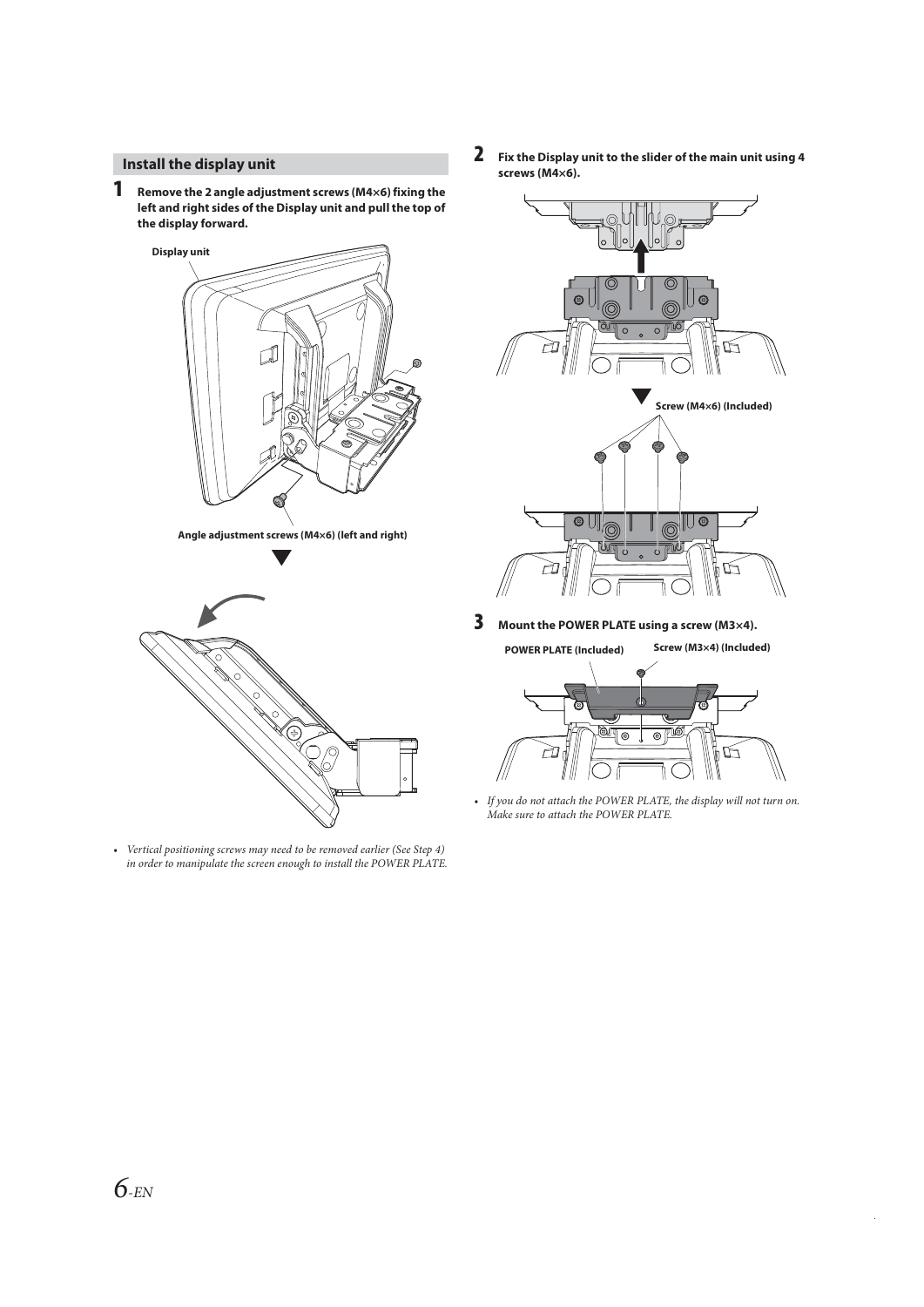#### **Install the display unit**

**1 Remove the 2 angle adjustment screws (M4×6) fixing the left and right sides of the Display unit and pull the top of the display forward.**





• Vertical positioning screws may need to be removed earlier (See Step 4) in order to manipulate the screen enough to install the POWER PLATE. **2 Fix the Display unit to the slider of the main unit using 4 screws (M4×6).**



**3 Mount the POWER PLATE using a screw (M3×4).**

**POWER PLATE (Included) Screw (M3×4) (Included)**



• If you do not attach the POWER PLATE, the display will not turn on. Make sure to attach the POWER PLATE.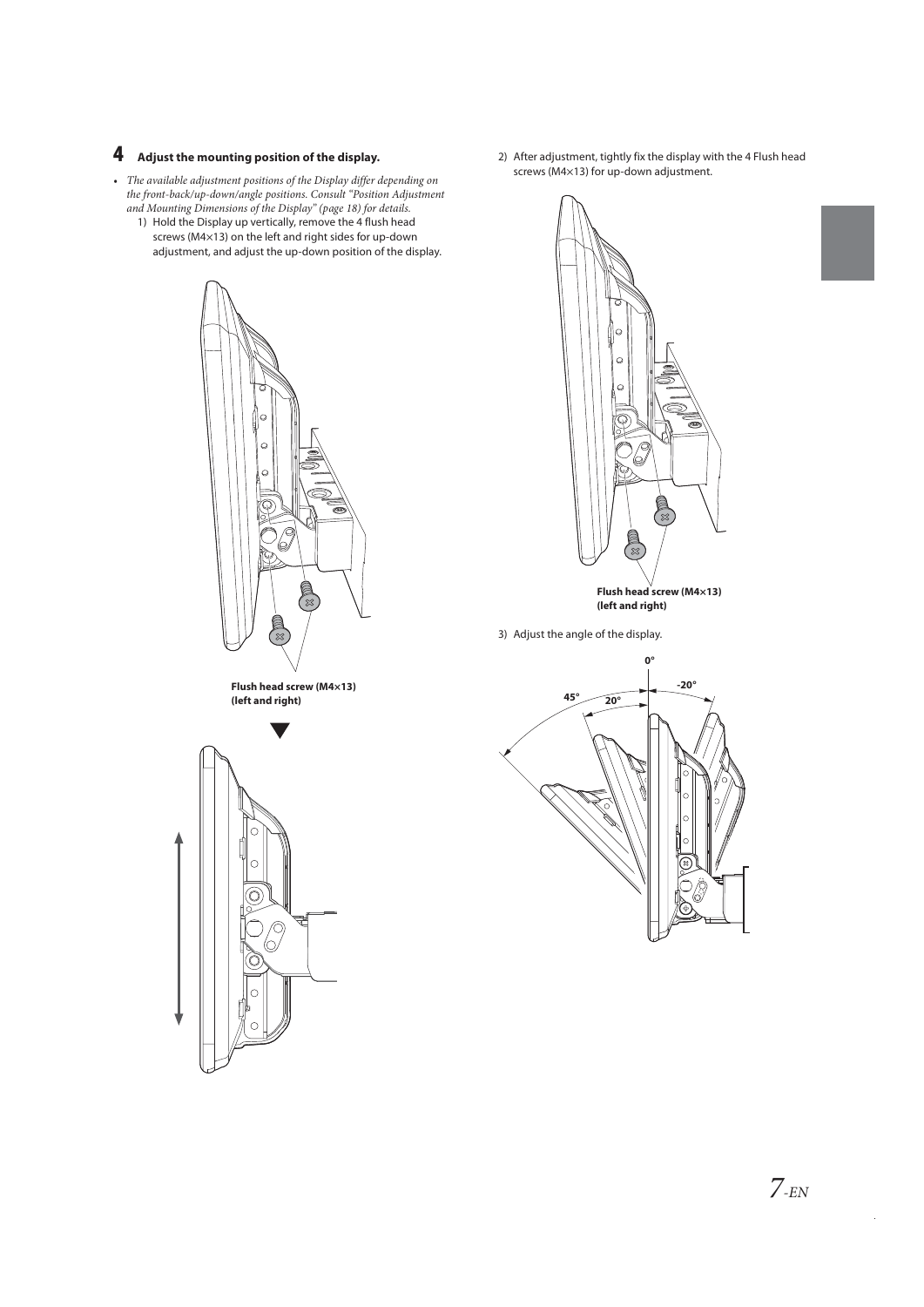#### **4 Adjust the mounting position of the display.**

- The available adjustment positions of the Display differ depending on the front-back/up-down/angle positions. Consult "Position Adjustment and Mounting Dimensions of the Display" (page 18) for details.
	- 1) Hold the Display up vertically, remove the 4 flush head screws (M4×13) on the left and right sides for up-down adjustment, and adjust the up-down position of the display.



**Flush head screw (M4×13) (left and right)**



2) After adjustment, tightly fix the display with the 4 Flush head screws (M4×13) for up-down adjustment.



3) Adjust the angle of the display.



 $\hat{\boldsymbol{\beta}}$ i.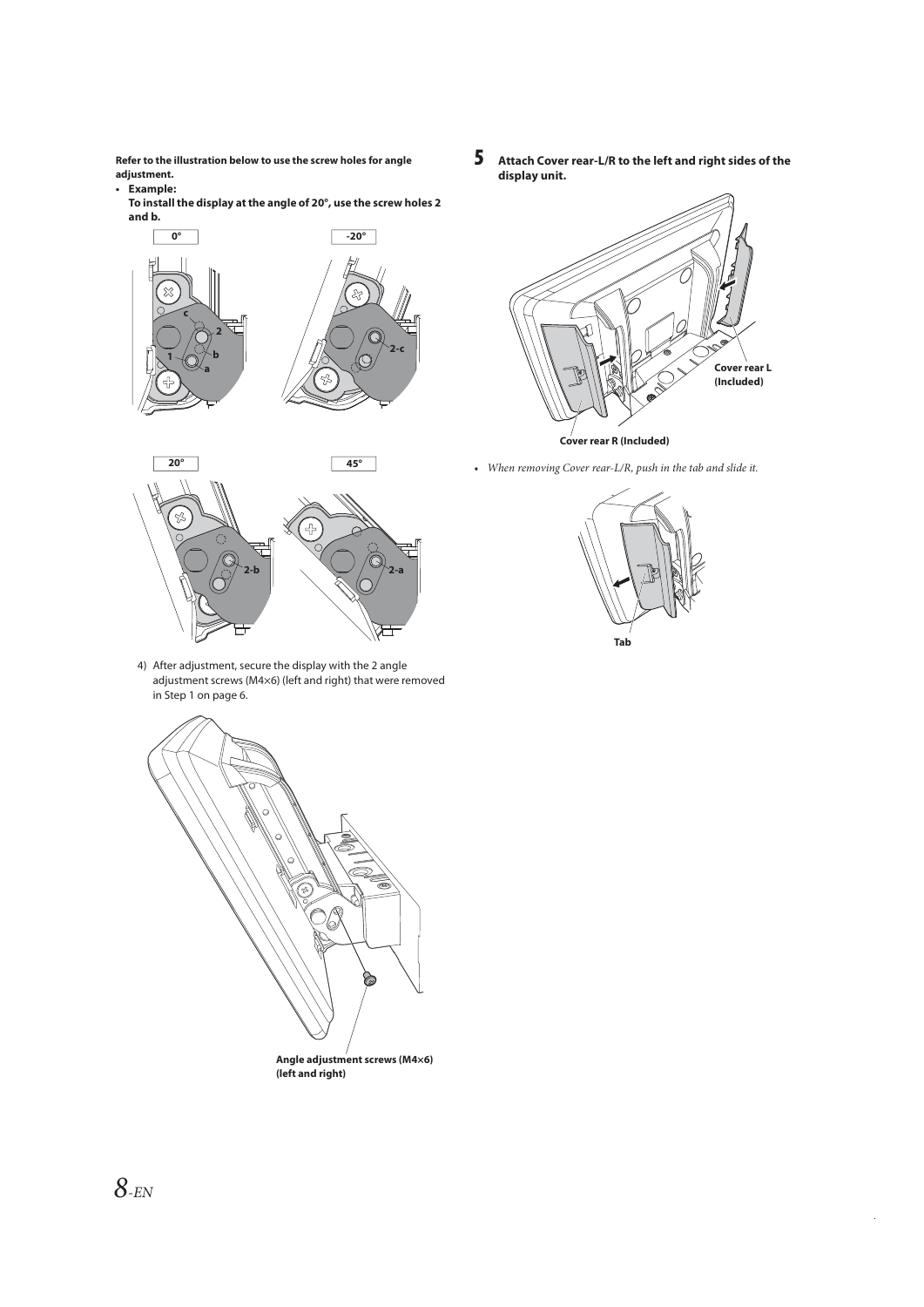**Refer to the illustration below to use the screw holes for angle adjustment.**

**• Example:**

**To install the display at the angle of 20°, use the screw holes 2 and b.**





4) After adjustment, secure the display with the 2 angle adjustment screws (M4×6) (left and right) that were removed



**5 Attach Cover rear-L/R to the left and right sides of the display unit.**



• When removing Cover rear-L/R, push in the tab and slide it.

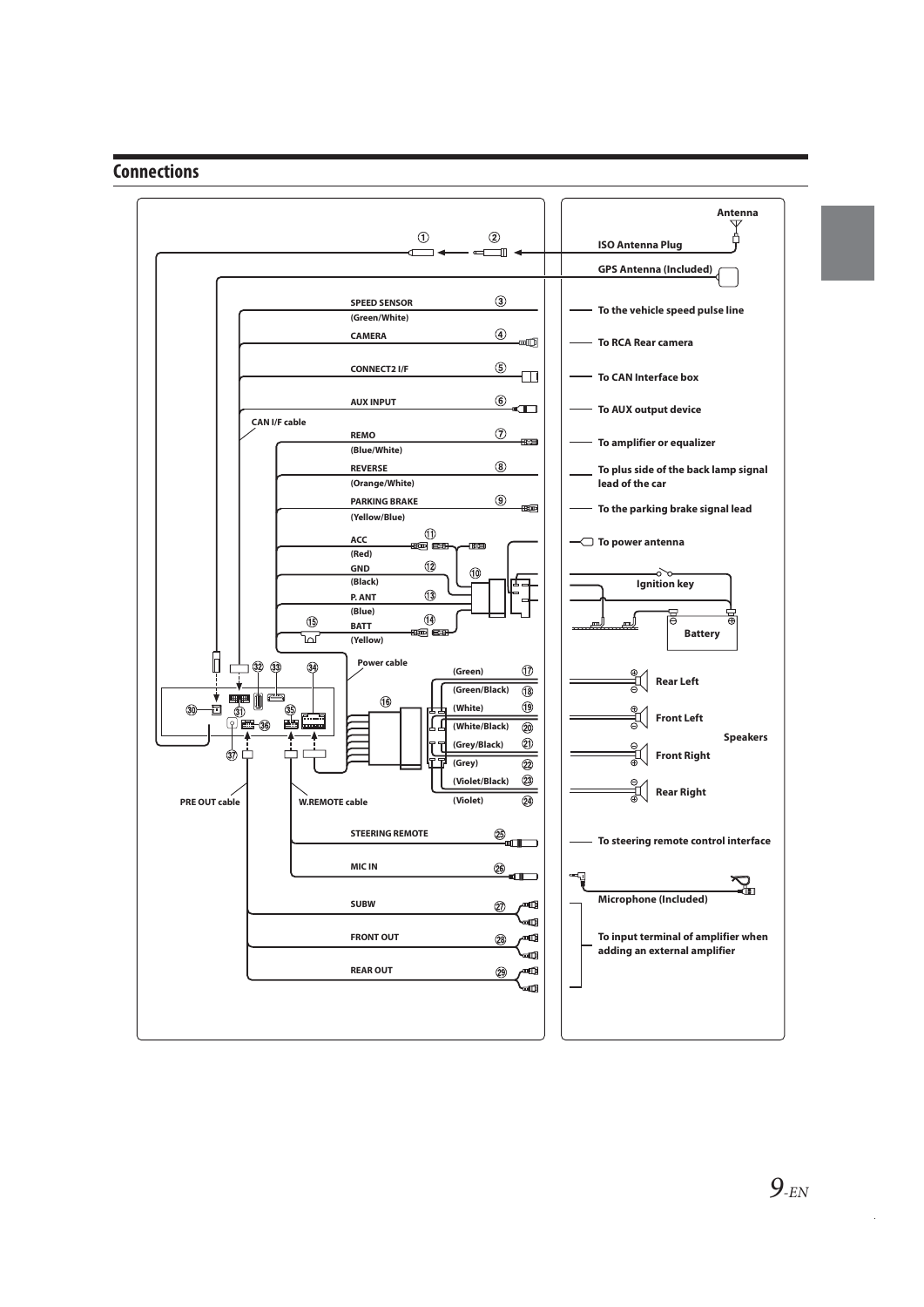#### **Connections**



 $9$ -EN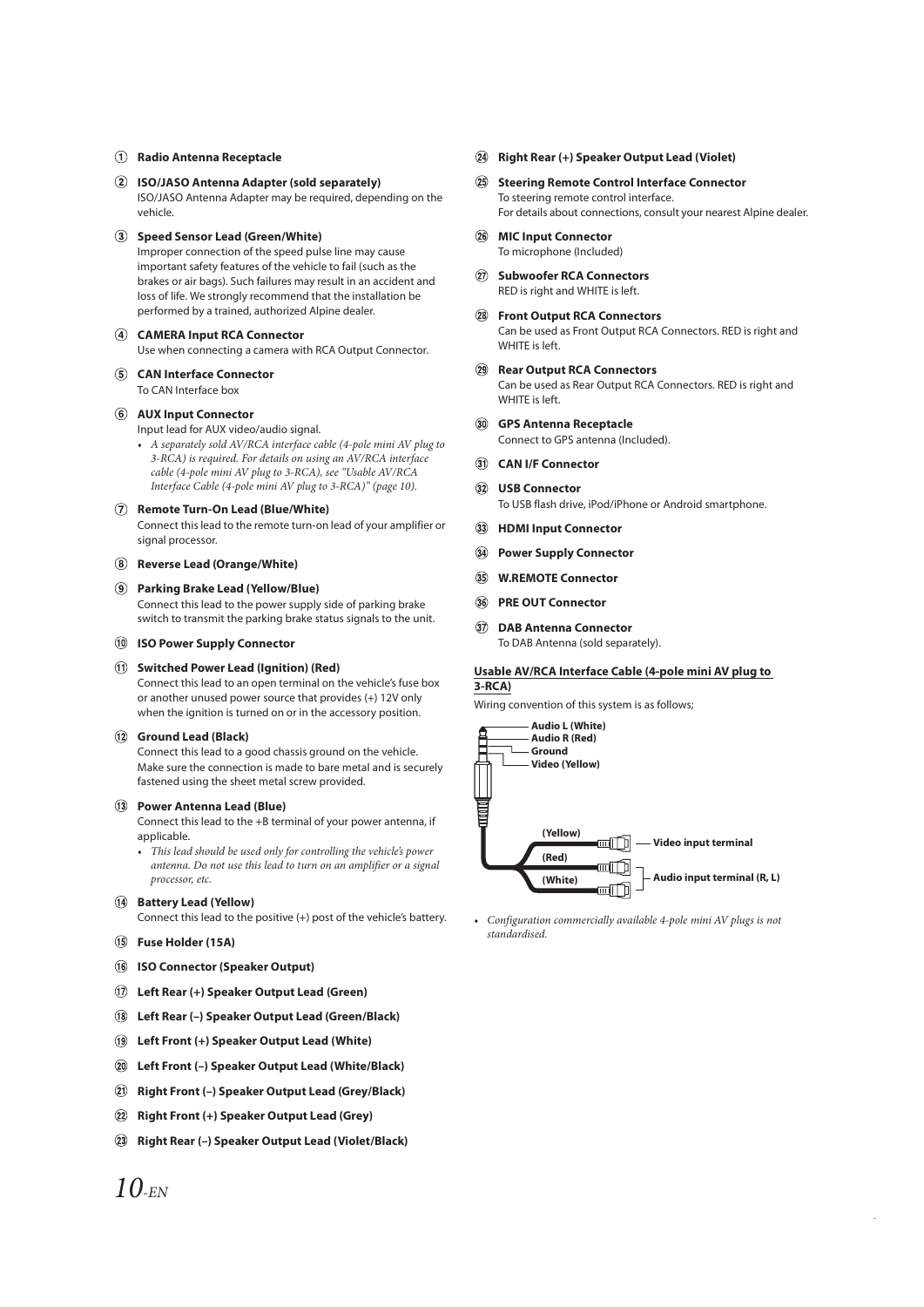#### **Radio Antenna Receptacle**

- **ISO/JASO Antenna Adapter (sold separately)** ISO/JASO Antenna Adapter may be required, depending on the vehicle.
- **Speed Sensor Lead (Green/White)** Improper connection of the speed pulse line may cause important safety features of the vehicle to fail (such as the brakes or air bags). Such failures may result in an accident and loss of life. We strongly recommend that the installation be performed by a trained, authorized Alpine dealer.
- **CAMERA Input RCA Connector** Use when connecting a camera with RCA Output Connector.

**CAN Interface Connector** To CAN Interface box

#### **AUX Input Connector**

Input lead for AUX video/audio signal.

- A separately sold AV/RCA interface cable (4-pole mini AV plug to 3-RCA) is required. For details on using an AV/RCA interface cable (4-pole mini AV plug to 3-RCA), see "Usable AV/RCA Interface Cable (4-pole mini AV plug to 3-RCA)" (page 10).
- **Remote Turn-On Lead (Blue/White)** Connect this lead to the remote turn-on lead of your amplifier or signal processor.
- **Reverse Lead (Orange/White)**
- **Parking Brake Lead (Yellow/Blue)** Connect this lead to the power supply side of parking brake

switch to transmit the parking brake status signals to the unit.

#### **ISO Power Supply Connector**

**Switched Power Lead (Ignition) (Red)**

Connect this lead to an open terminal on the vehicle's fuse box or another unused power source that provides (+) 12V only when the ignition is turned on or in the accessory position.

#### **Ground Lead (Black)**

Connect this lead to a good chassis ground on the vehicle. Make sure the connection is made to bare metal and is securely fastened using the sheet metal screw provided.

#### **Power Antenna Lead (Blue)**

Connect this lead to the +B terminal of your power antenna, if applicable.

- This lead should be used only for controlling the vehicle's power antenna. Do not use this lead to turn on an amplifier or a signal processor, etc.
- **Battery Lead (Yellow)**

Connect this lead to the positive (+) post of the vehicle's battery.

- **Fuse Holder (15A)**
- **ISO Connector (Speaker Output)**
- **Left Rear (+) Speaker Output Lead (Green)**
- **Left Rear (–) Speaker Output Lead (Green/Black)**
- **Left Front (+) Speaker Output Lead (White)**
- **Left Front (–) Speaker Output Lead (White/Black)**
- **Right Front (–) Speaker Output Lead (Grey/Black)**
- **Right Front (+) Speaker Output Lead (Grey)**
- **Right Rear (–) Speaker Output Lead (Violet/Black)**
- **Right Rear (+) Speaker Output Lead (Violet)**
- **Steering Remote Control Interface Connector** To steering remote control interface. For details about connections, consult your nearest Alpine dealer.
- **MIC Input Connector** To microphone (Included)
- **(27) Subwoofer RCA Connectors** RED is right and WHITE is left.

**Front Output RCA Connectors** Can be used as Front Output RCA Connectors. RED is right and WHITE is left.

#### **Rear Output RCA Connectors**

Can be used as Rear Output RCA Connectors. RED is right and WHITE is left.

- **GPS Antenna Receptacle** Connect to GPS antenna (Included).
- **CAN I/F Connector**
- $\Omega$ **USB Connector** To USB flash drive, iPod/iPhone or Android smartphone.
- **HDMI Input Connector**
- **Power Supply Connector**
- **W.REMOTE Connector**
- **PRE OUT Connector**

 $\overline{37}$ **DAB Antenna Connector** To DAB Antenna (sold separately).

#### **Usable AV/RCA Interface Cable (4-pole mini AV plug to 3-RCA)**

Wiring convention of this system is as follows;



• Configuration commercially available 4-pole mini AV plugs is not standardised.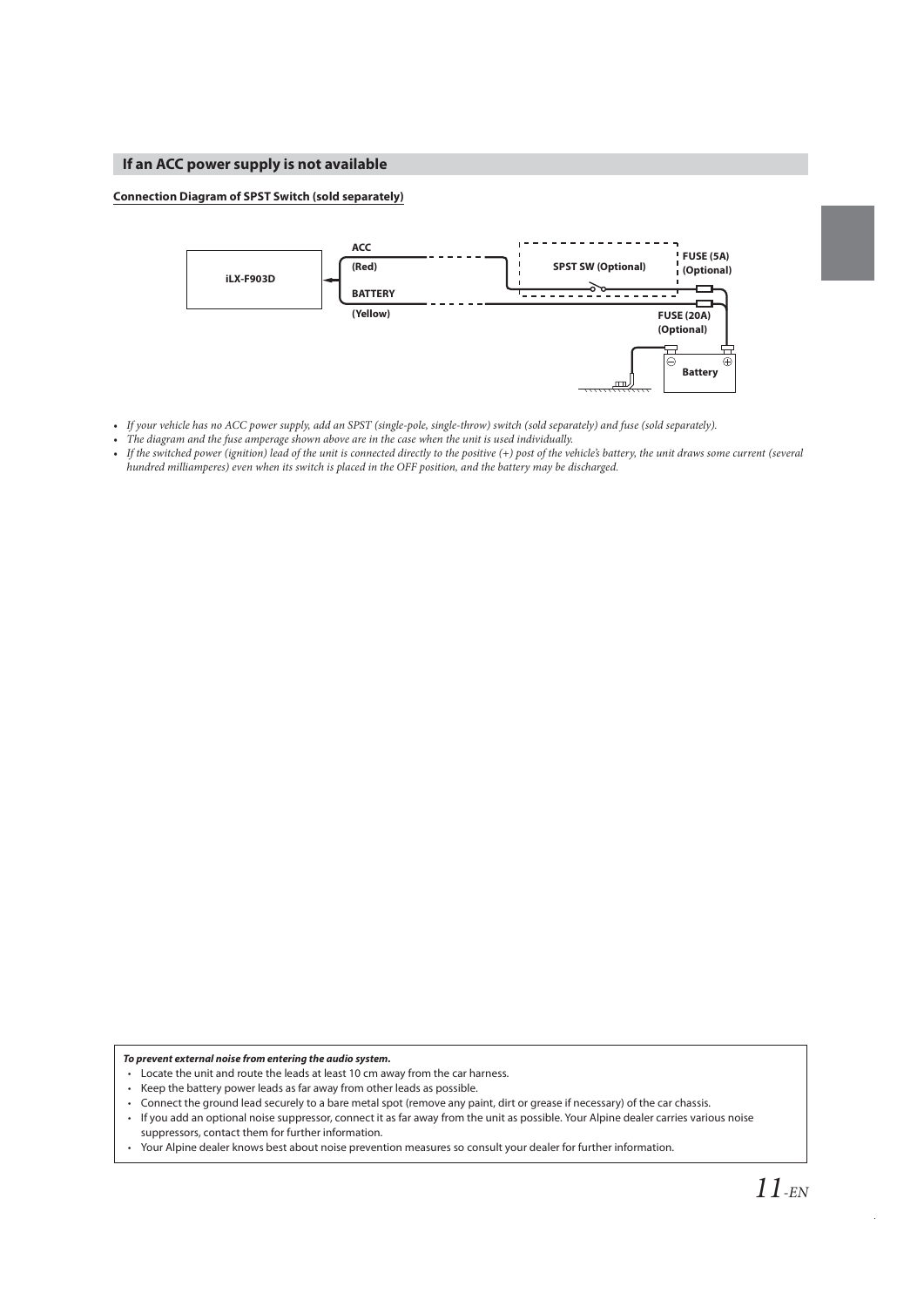#### **If an ACC power supply is not available**

#### **Connection Diagram of SPST Switch (sold separately)**



- If your vehicle has no ACC power supply, add an SPST (single-pole, single-throw) switch (sold separately) and fuse (sold separately).
- The diagram and the fuse amperage shown above are in the case when the unit is used individually.
- If the switched power (ignition) lead of the unit is connected directly to the positive (+) post of the vehicle's battery, the unit draws some current (several hundred milliamperes) even when its switch is placed in the OFF position, and the battery may be discharged.

*To prevent external noise from entering the audio system.*

- Locate the unit and route the leads at least 10 cm away from the car harness.
- Keep the battery power leads as far away from other leads as possible.
- Connect the ground lead securely to a bare metal spot (remove any paint, dirt or grease if necessary) of the car chassis.
- If you add an optional noise suppressor, connect it as far away from the unit as possible. Your Alpine dealer carries various noise suppressors, contact them for further information.
- Your Alpine dealer knows best about noise prevention measures so consult your dealer for further information.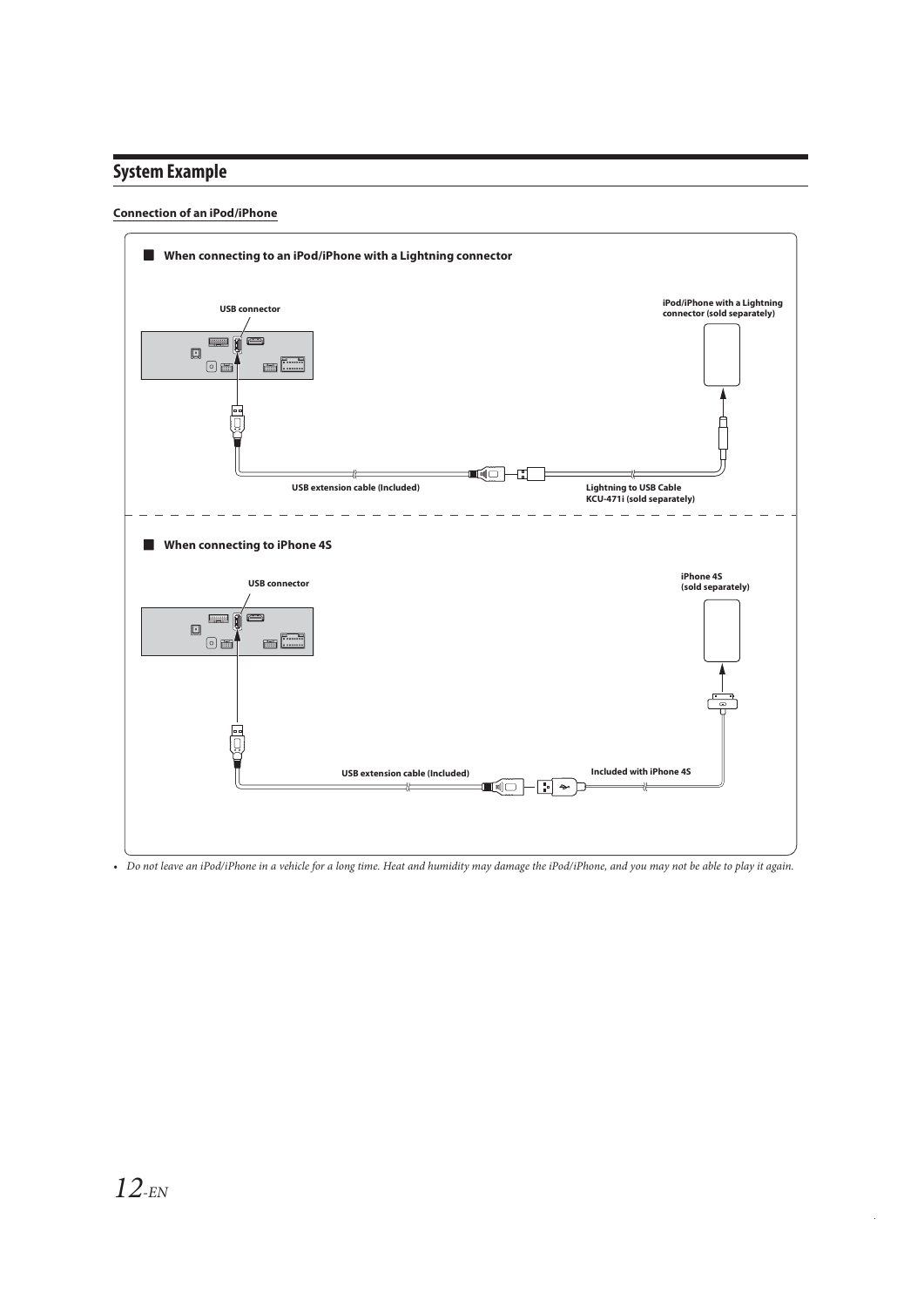### **System Example**

#### **Connection of an iPod/iPhone**



• Do not leave an iPod/iPhone in a vehicle for a long time. Heat and humidity may damage the iPod/iPhone, and you may not be able to play it again.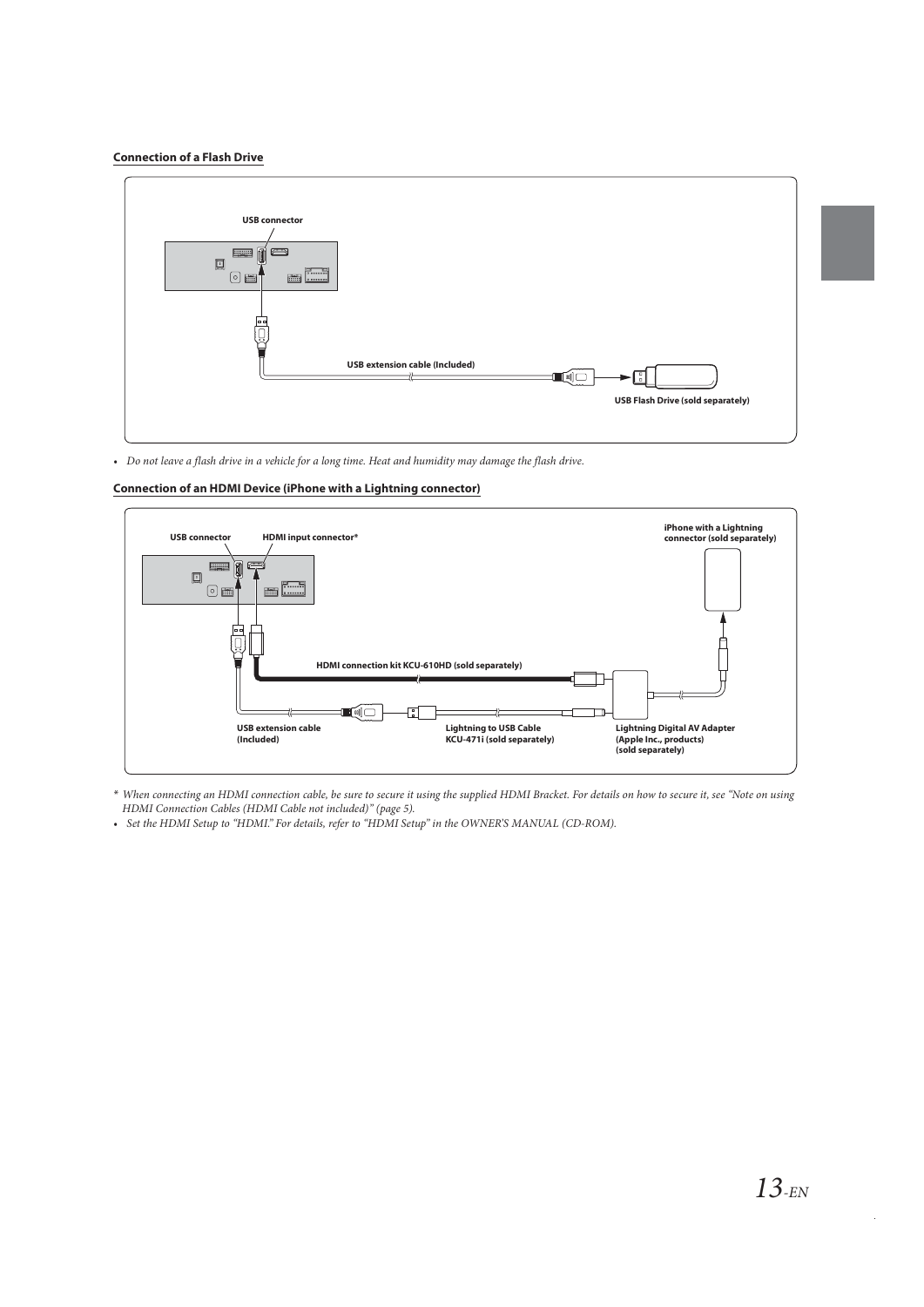#### **Connection of a Flash Drive**



• Do not leave a flash drive in a vehicle for a long time. Heat and humidity may damage the flash drive.





- \* When connecting an HDMI connection cable, be sure to secure it using the supplied HDMI Bracket. For details on how to secure it, see "Note on using HDMI Connection Cables (HDMI Cable not included)" (page 5).
- Set the HDMI Setup to "HDMI." For details, refer to "HDMI Setup" in the OWNER'S MANUAL (CD-ROM).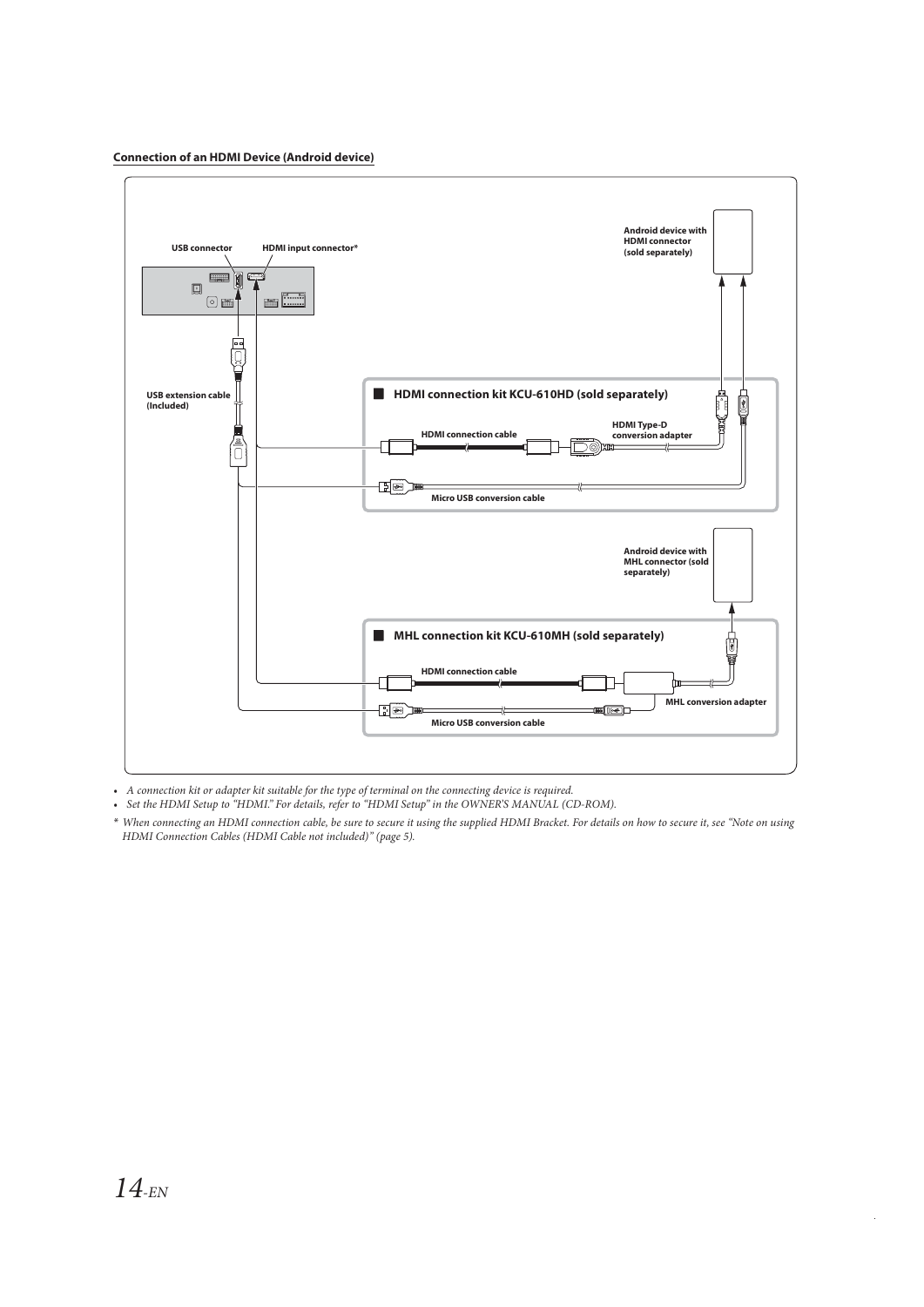**Connection of an HDMI Device (Android device)**



• A connection kit or adapter kit suitable for the type of terminal on the connecting device is required.

• Set the HDMI Setup to "HDMI." For details, refer to "HDMI Setup" in the OWNER'S MANUAL (CD-ROM).

\* When connecting an HDMI connection cable, be sure to secure it using the supplied HDMI Bracket. For details on how to secure it, see "Note on using HDMI Connection Cables (HDMI Cable not included)" (page 5).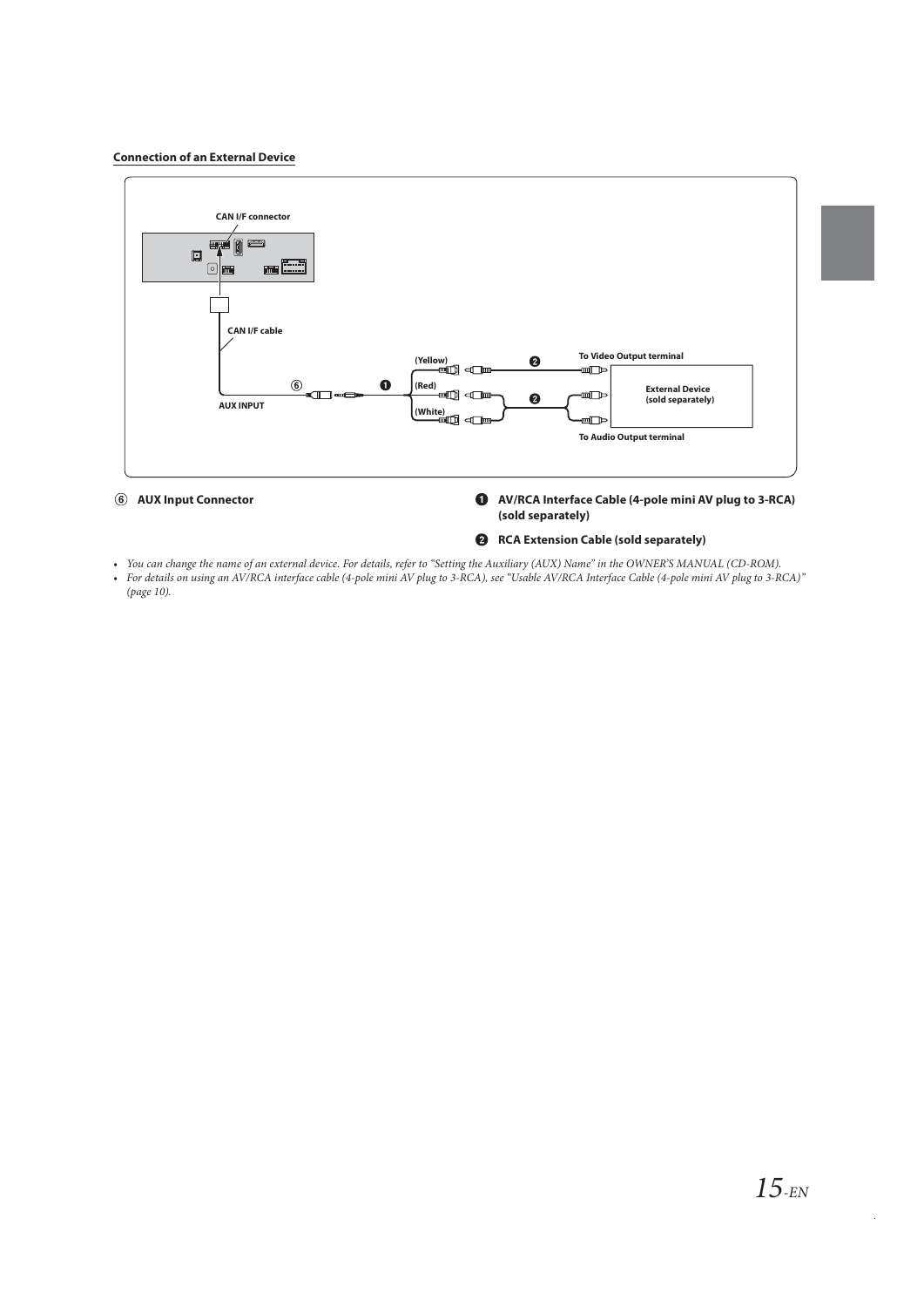#### **Connection of an External Device**



- **AUX Input Connector AUX Input Connector AV/RCA Interface Cable (4-pole mini AV plug to 3-RCA) (sold separately)**
	- **RCA Extension Cable (sold separately)**
- You can change the name of an external device. For details, refer to "Setting the Auxiliary (AUX) Name" in the OWNER'S MANUAL (CD-ROM).
- For details on using an AV/RCA interface cable (4-pole mini AV plug to 3-RCA), see "Usable AV/RCA Interface Cable (4-pole mini AV plug to 3-RCA)" (page 10).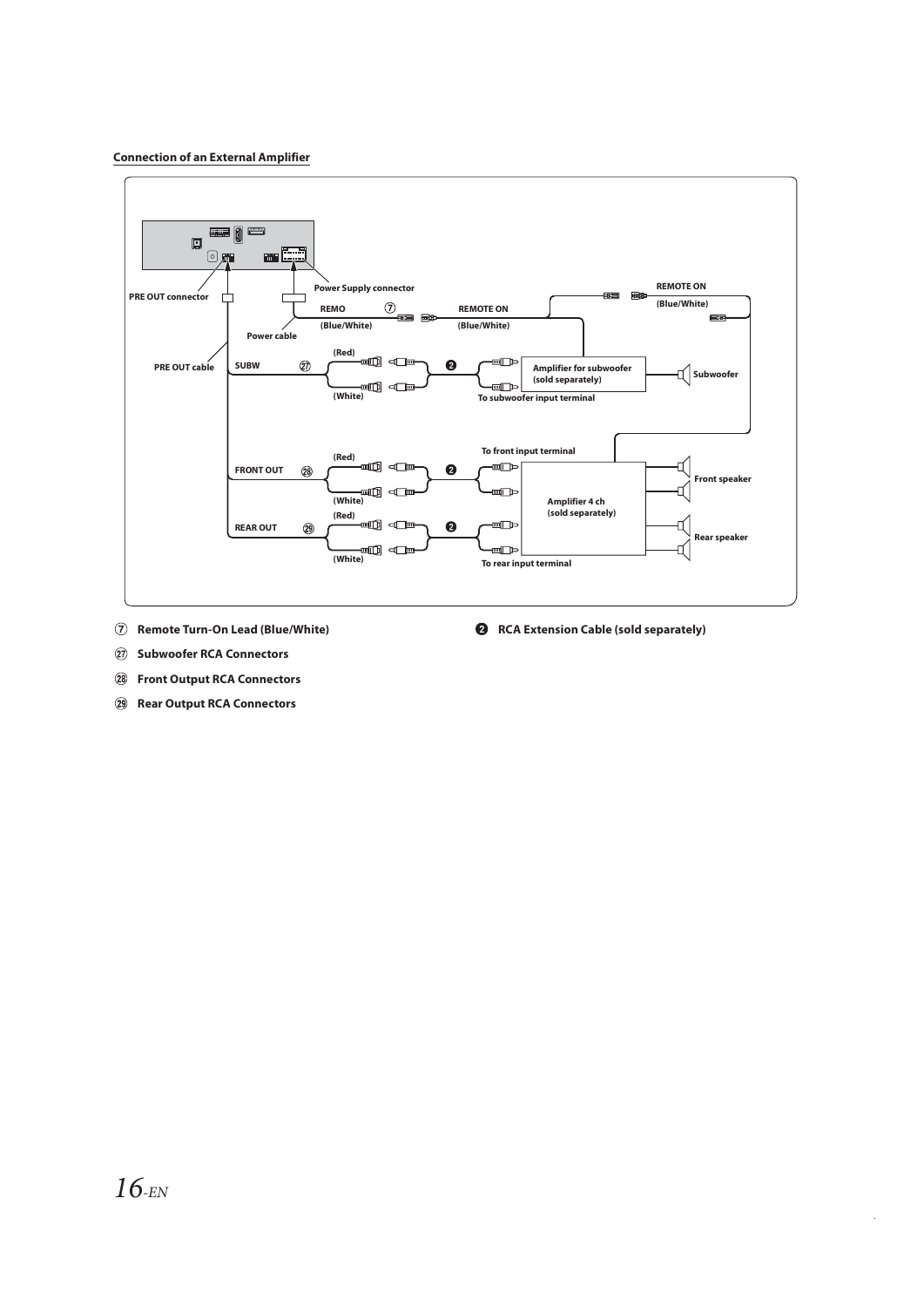#### **Connection of an External Amplifier**



**RCA Extension Cable (sold separately)**

- **Remote Turn-On Lead (Blue/White)**
- **Subwoofer RCA Connectors**
- $\circled{28}$ **Front Output RCA Connectors**
- **Rear Output RCA Connectors**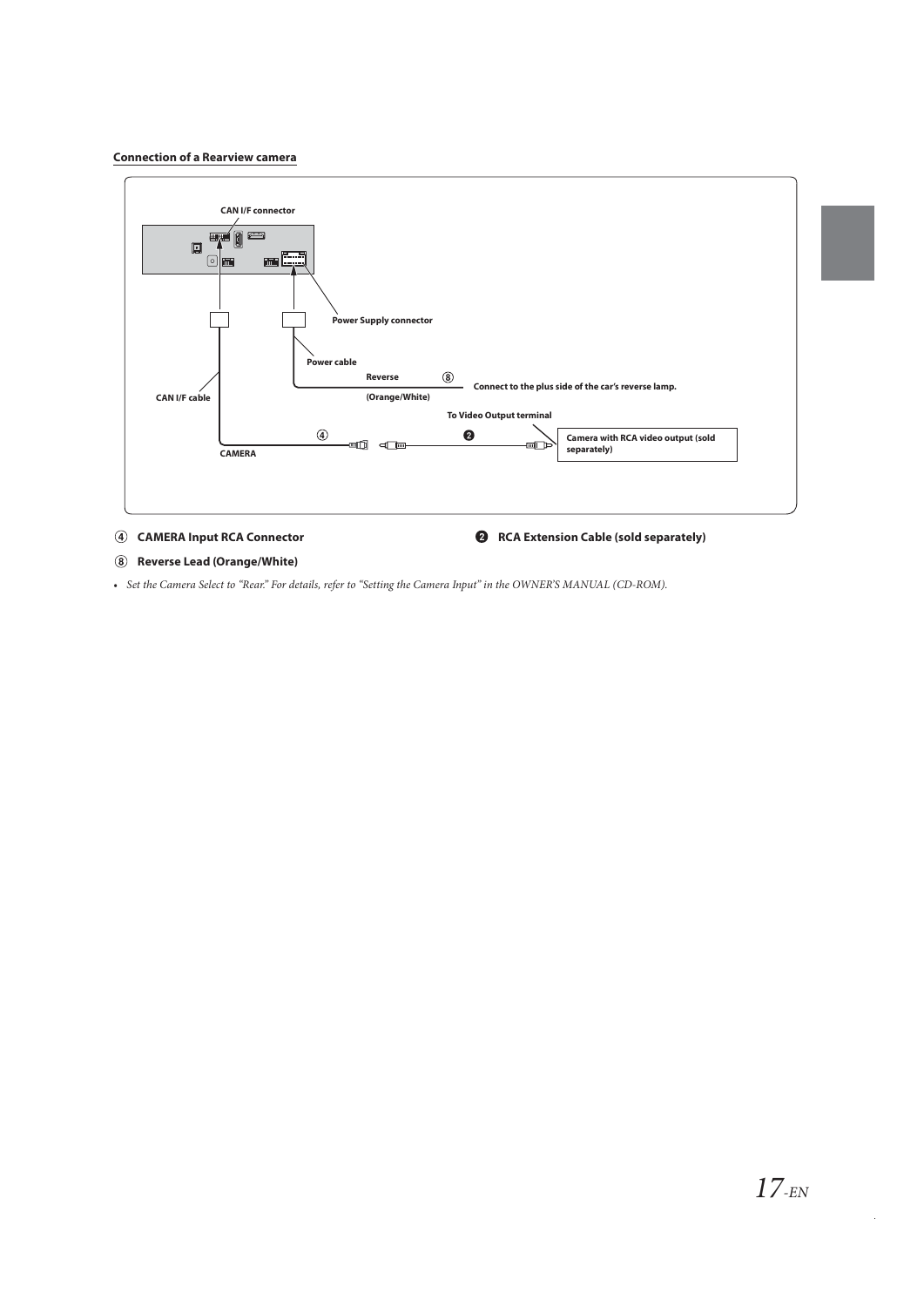#### **Connection of a Rearview camera**



#### **CAMERA Input RCA Connector**

**RCA Extension Cable (sold separately)**

#### **Reverse Lead (Orange/White)**

• Set the Camera Select to "Rear." For details, refer to "Setting the Camera Input" in the OWNER'S MANUAL (CD-ROM).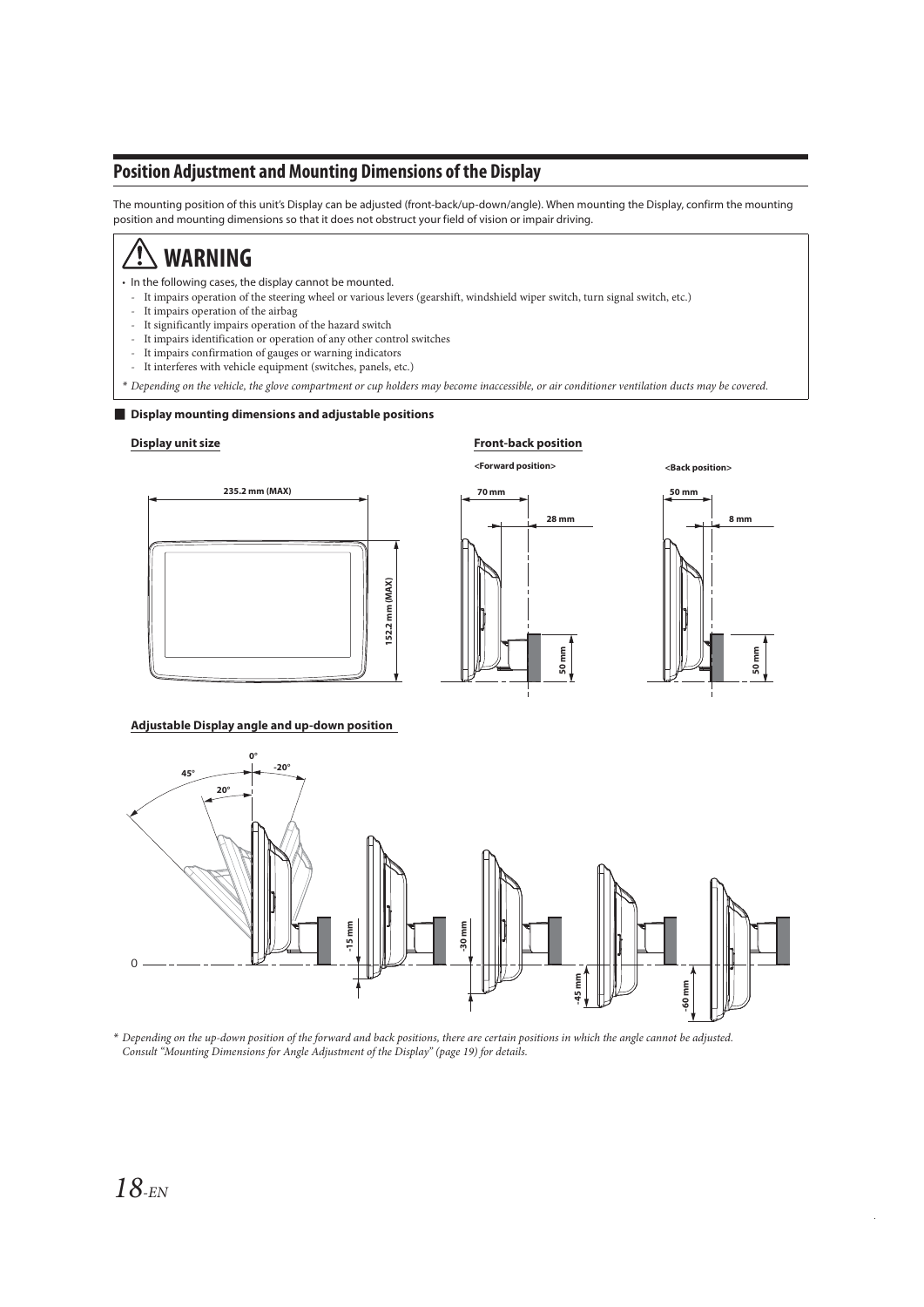#### **Position Adjustment and Mounting Dimensions of the Display**

The mounting position of this unit's Display can be adjusted (front-back/up-down/angle). When mounting the Display, confirm the mounting position and mounting dimensions so that it does not obstruct your field of vision or impair driving.

### **WARNING**

• In the following cases, the display cannot be mounted.

- It impairs operation of the steering wheel or various levers (gearshift, windshield wiper switch, turn signal switch, etc.)
- It impairs operation of the airbag
- It significantly impairs operation of the hazard switch
- It impairs identification or operation of any other control switches
- It impairs confirmation of gauges or warning indicators
- It interferes with vehicle equipment (switches, panels, etc.)
- \* Depending on the vehicle, the glove compartment or cup holders may become inaccessible, or air conditioner ventilation ducts may be covered.

#### **Display mounting dimensions and adjustable positions**

#### **Display unit size Front-back position**











**Adjustable Display angle and up-down position** 



\* Depending on the up-down position of the forward and back positions, there are certain positions in which the angle cannot be adjusted. Consult "Mounting Dimensions for Angle Adjustment of the Display" (page 19) for details.